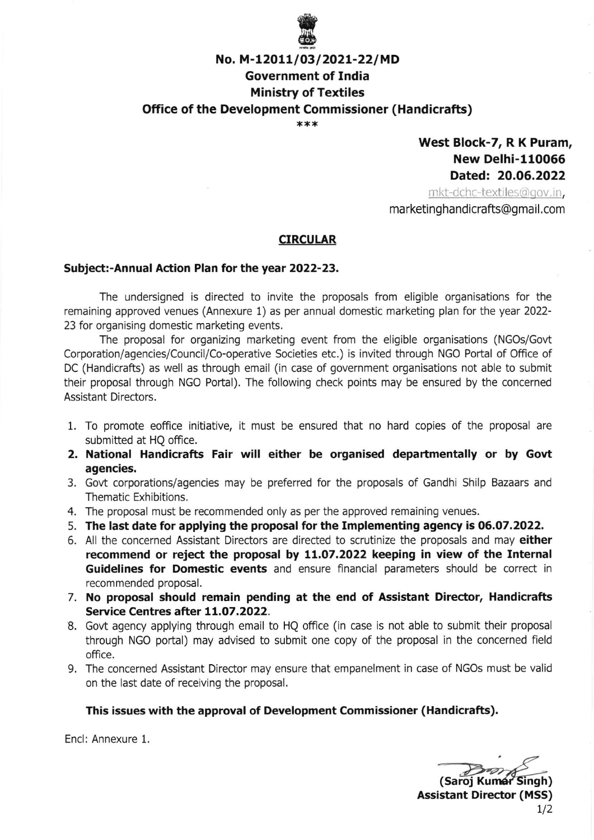

# No. M-12011/03/2021-22/MD Government of tndia Ministry of Textiles Office of the Development Commissioner (Handicrafts)

\*\*\*

## West Block-7, R K Puram, New Delhi-110065 Dated: 20.06.2022

mkt-dchc-textiles@gov.in, marketing handicrafts@gmail.com

#### CIRCULAR

#### Subject:-Annual Action Plan for the year 2022-23.

The undersigned is directed to invite the proposals from eligible organisations for the remaining approved venues (Annexure 1) as per annual domestic marketing plan for the year 2022- 23 for organising domestic marketing events.

The proposal for organizing marketing event from the eligible organisations (NGOs/Govt Corporation/agencies/Council/Co-operative Societies etc.) is invited through NGO Portal of Office of DC (Handicrafts) as well as through email (in case of government organisations not able to submit their proposal through NGO Potai). The following check points may be ensured by the concerned Assistant Directors.

- 1. To promote eoffice initiative, it must be ensured that no hard copies of the proposal are submitted at HO office.
- 2. National Handicrafts Fair will either be organised departmentally or by Govt agencies.
- 3. Govt corporations/agencies may be prefened for the proposals of Gandhi Shilp Bazaars and Thematic Exhlbitions.
- 4. The proposal must be recommended only as per the approved remaining venues.
- 5. The last date for applying the proposal for the Implementing agency is 06.07.2022.
- 6. All the concerned Assistant Directors are directed to scrutinize the proposals and may either recommend or reject the proposal by 11.07.2022 keeping in view of the Internal Guidelines for Domestic events and ensure financial parameters should be correct in recommended proposal.
- 7. No proposal should remain pending at the end of Assistant Director, Handicrafts Service Centres after 11.07.2022.
- 8. Govt agency applying through email to HQ office (in case is not able to submit their proposal through NGO portal) may advised to submit one copy of the proposal in the concerned fleld office.
- 9. The concerned Assistant Director may ensure that empanelment in case of NGOs must be valid on the last date of receiving the proposal.

#### This issues with the approval of Development Commissioner (Handicrafts).

Encl: Annexure 1.

(Saroj Kumar Singh) Assistant Director (MSS)  $1/2$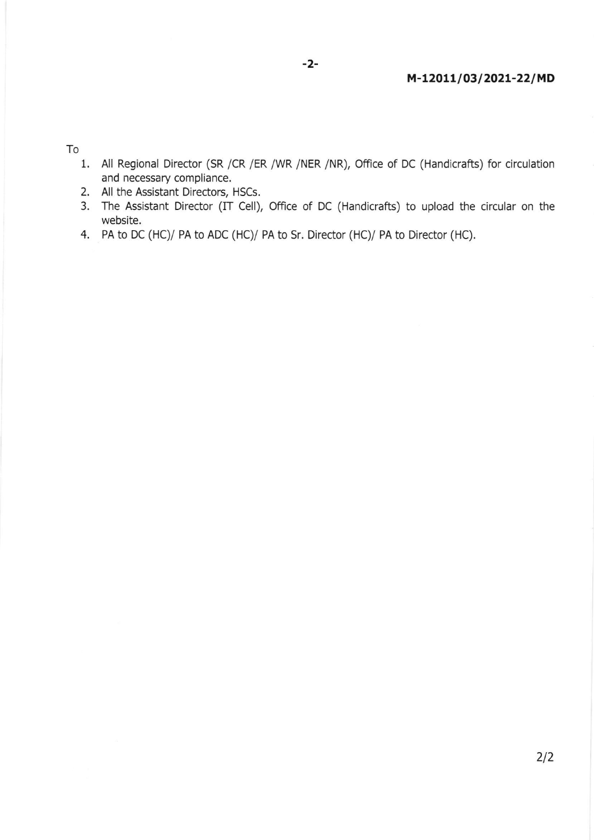To

1. All Regional Director (SR /CR /ER /WR /NER /NR), Office of DC (Handicrafts) for circulation and necessary compliance.

-2-

- 2. All the Assistant Directors, HSCs.
- 3. The Assistant Director (IT Cell), Office of DC (Handicrafts) to upload the circular on the website.
- 4. PA to DC (HC)/ PA to ADC (HC)/ PA to Sr. Director (HC)/ PA to Director (HC).